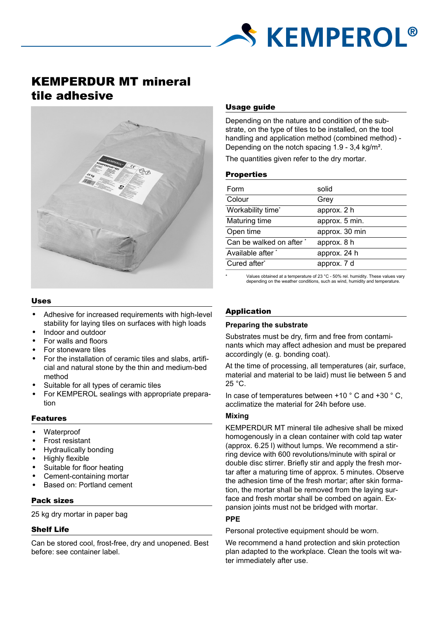

# KEMPERDUR MT mineral tile adhesive



## Uses

- Adhesive for increased requirements with high-level stability for laying tiles on surfaces with high loads
- Indoor and outdoor
- For walls and floors
- For stoneware tiles
- For the installation of ceramic tiles and slabs, artificial and natural stone by the thin and medium-bed method
- Suitable for all types of ceramic tiles
- For KEMPEROL sealings with appropriate preparation

# Features

- Waterproof
- Frost resistant
- Hydraulically bonding
- Highly flexible
- Suitable for floor heating
- Cement-containing mortar
- Based on: Portland cement

# Pack sizes

25 kg dry mortar in paper bag

# Shelf Life

Can be stored cool, frost-free, dry and unopened. Best before: see container label.

# Usage guide

Depending on the nature and condition of the substrate, on the type of tiles to be installed, on the tool handling and application method (combined method) - Depending on the notch spacing 1.9 - 3,4 kg/m².

The quantities given refer to the dry mortar.

# **Properties**

| Form                     | solid          |
|--------------------------|----------------|
| Colour                   | Grey           |
| Workability time*        | approx. 2 h    |
| Maturing time            | approx. 5 min. |
| Open time                | approx. 30 min |
| Can be walked on after * | approx. 8 h    |
| Available after *        | approx. 24 h   |
| Cured after*             | approx. 7 d    |
|                          |                |

Values obtained at a temperature of 23 °C - 50% rel. humidity. These values vary depending on the weather conditions, such as wind, humidity and temperature.

# Application

# **Preparing the substrate**

Substrates must be dry, firm and free from contaminants which may affect adhesion and must be prepared accordingly (e. g. bonding coat).

At the time of processing, all temperatures (air, surface, material and material to be laid) must lie between 5 and 25 °C.

In case of temperatures between +10 ° C and +30 ° C, acclimatize the material for 24h before use.

# **Mixing**

KEMPERDUR MT mineral tile adhesive shall be mixed homogenously in a clean container with cold tap water (approx. 6.25 l) without lumps. We recommend a stirring device with 600 revolutions/minute with spiral or double disc stirrer. Briefly stir and apply the fresh mortar after a maturing time of approx. 5 minutes. Observe the adhesion time of the fresh mortar; after skin formation, the mortar shall be removed from the laying surface and fresh mortar shall be combed on again. Expansion joints must not be bridged with mortar.

# **PPE**

Personal protective equipment should be worn.

We recommend a hand protection and skin protection plan adapted to the workplace. Clean the tools wit water immediately after use.